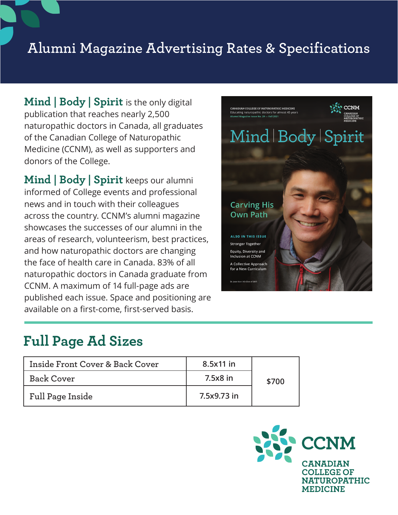## **Alumni Magazine Advertising Rates & Specifications**

**Mind | Body | Spirit** is the only digital publication that reaches nearly 2,500 naturopathic doctors in Canada, all graduates of the Canadian College of Naturopathic Medicine (CCNM), as well as supporters and donors of the College.

**Mind | Body | Spirit** keeps our alumni informed of College events and professional news and in touch with their colleagues across the country. CCNM's alumni magazine showcases the successes of our alumni in the areas of research, volunteerism, best practices, and how naturopathic doctors are changing the face of health care in Canada. 83% of all naturopathic doctors in Canada graduate from CCNM. A maximum of 14 full-page ads are published each issue. Space and positioning are available on a first-come, first-served basis.



## **Full Page Ad Sizes**

| <b>Inside Front Cover &amp; Back Cover</b> | 8.5x11 in   |       |
|--------------------------------------------|-------------|-------|
| <b>Back Cover</b>                          | 7.5x8 in    | \$700 |
| Full Page Inside                           | 7.5x9.73 in |       |